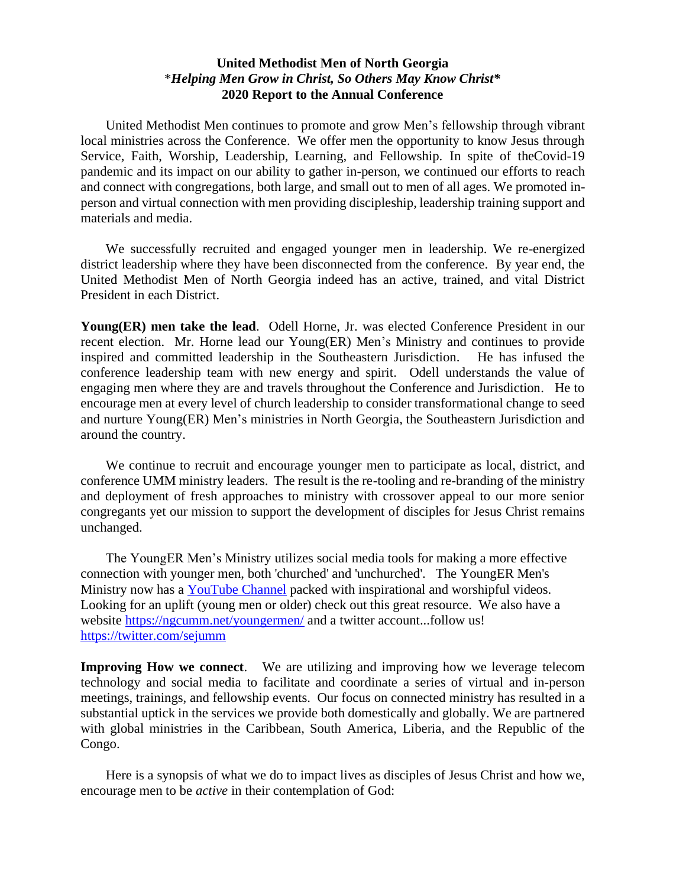## **United Methodist Men of North Georgia** \**Helping Men Grow in Christ, So Others May Know Christ\** **2020 Report to the Annual Conference**

United Methodist Men continues to promote and grow Men's fellowship through vibrant local ministries across the Conference. We offer men the opportunity to know Jesus through Service, Faith, Worship, Leadership, Learning, and Fellowship. In spite of theCovid-19 pandemic and its impact on our ability to gather in-person, we continued our efforts to reach and connect with congregations, both large, and small out to men of all ages. We promoted inperson and virtual connection with men providing discipleship, leadership training support and materials and media.

We successfully recruited and engaged younger men in leadership. We re-energized district leadership where they have been disconnected from the conference. By year end, the United Methodist Men of North Georgia indeed has an active, trained, and vital District President in each District.

**Young(ER) men take the lead**. Odell Horne, Jr. was elected Conference President in our recent election. Mr. Horne lead our Young(ER) Men's Ministry and continues to provide inspired and committed leadership in the Southeastern Jurisdiction. He has infused the conference leadership team with new energy and spirit. Odell understands the value of engaging men where they are and travels throughout the Conference and Jurisdiction. He to encourage men at every level of church leadership to consider transformational change to seed and nurture Young(ER) Men's ministries in North Georgia, the Southeastern Jurisdiction and around the country.

We continue to recruit and encourage younger men to participate as local, district, and conference UMM ministry leaders. The result is the re-tooling and re-branding of the ministry and deployment of fresh approaches to ministry with crossover appeal to our more senior congregants yet our mission to support the development of disciples for Jesus Christ remains unchanged.

The YoungER Men's Ministry utilizes social media tools for making a more effective connection with younger men, both 'churched' and 'unchurched'. The YoungER Men's Ministry now has a **YouTube Channel** packed with inspirational and worshipful videos. Looking for an uplift (young men or older) check out this great resource. We also have a website<https://ngcumm.net/youngermen/> and a twitter account...follow us! <https://twitter.com/sejumm>

**Improving How we connect**. We are utilizing and improving how we leverage telecom technology and social media to facilitate and coordinate a series of virtual and in-person meetings, trainings, and fellowship events. Our focus on connected ministry has resulted in a substantial uptick in the services we provide both domestically and globally. We are partnered with global ministries in the Caribbean, South America, Liberia, and the Republic of the Congo.

Here is a synopsis of what we do to impact lives as disciples of Jesus Christ and how we, encourage men to be *active* in their contemplation of God: